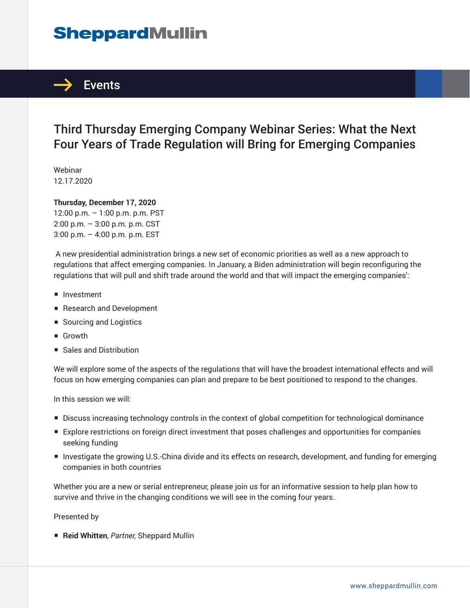# **SheppardMullin**



## Third Thursday Emerging Company Webinar Series: What the Next Four Years of Trade Regulation will Bring for Emerging Companies

Webinar 12.17.2020

#### **Thursday, December 17, 2020**

12:00 p.m. – 1:00 p.m. p.m. PST 2:00 p.m. – 3:00 p.m. p.m. CST 3:00 p.m. – 4:00 p.m. p.m. EST

 A new presidential administration brings a new set of economic priorities as well as a new approach to regulations that affect emerging companies. In January, a Biden administration will begin reconfiguring the regulations that will pull and shift trade around the world and that will impact the emerging companies':

- Investment
- Research and Development
- Sourcing and Logistics
- Growth
- Sales and Distribution

We will explore some of the aspects of the regulations that will have the broadest international effects and will focus on how emerging companies can plan and prepare to be best positioned to respond to the changes.

In this session we will:

- Discuss increasing technology controls in the context of global competition for technological dominance
- Explore restrictions on foreign direct investment that poses challenges and opportunities for companies seeking funding
- Investigate the growing U.S.-China divide and its effects on research, development, and funding for emerging companies in both countries

Whether you are a new or serial entrepreneur, please join us for an informative session to help plan how to survive and thrive in the changing conditions we will see in the coming four years.

Presented by

■ **Reid Whitten**, *Partner*, Sheppard Mullin